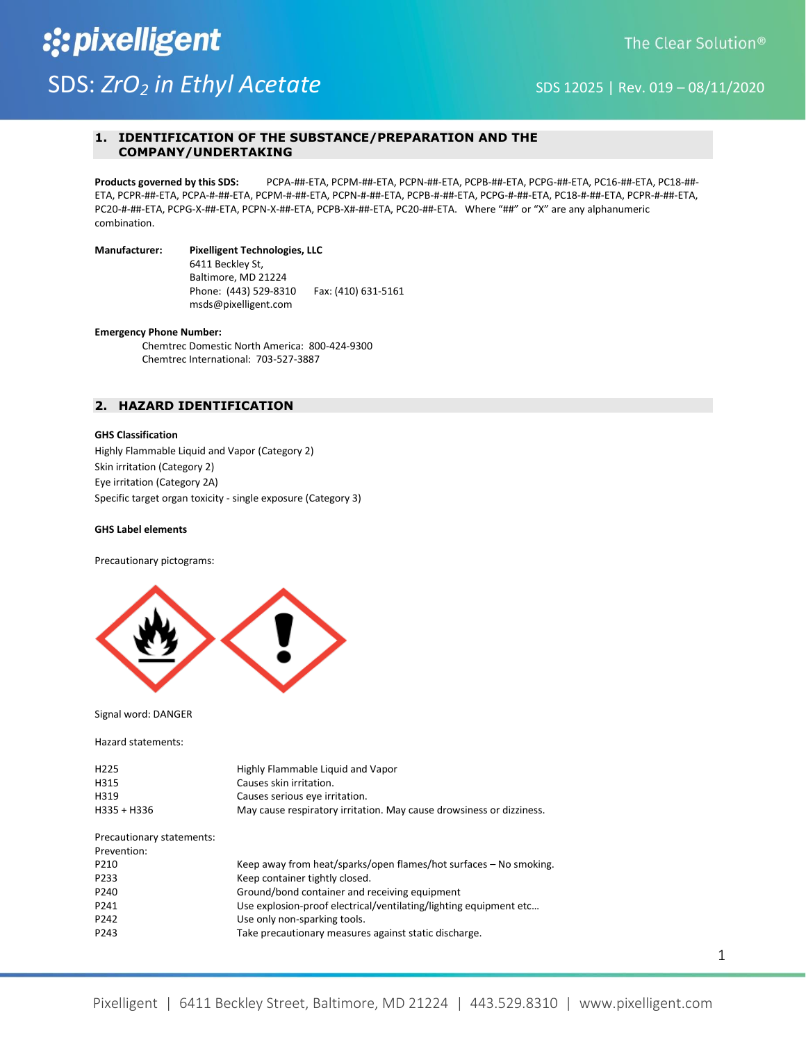# :: pixelligent SDS: *ZrO<sub>2</sub> in Ethyl Acetate* SDS 12025 | Rev. 019 – 08/11/2020

# **1. IDENTIFICATION OF THE SUBSTANCE/PREPARATION AND THE COMPANY/UNDERTAKING**

**Products governed by this SDS:** PCPA-##-ETA, PCPM-##-ETA, PCPN-##-ETA, PCPB-##-ETA, PCPG-##-ETA, PC16-##-ETA, PC18-##- ETA, PCPR-##-ETA, PCPA-#-##-ETA, PCPM-#-##-ETA, PCPN-#-##-ETA, PCPB-#-##-ETA, PCPG-#-##-ETA, PC18-#-##-ETA, PCPR-#-##-ETA, PC20-#-##-ETA, PCPG-X-##-ETA, PCPN-X-##-ETA, PCPB-X#-##-ETA, PC20-##-ETA. Where "##" or "X" are any alphanumeric combination.

# **Manufacturer: Pixelligent Technologies, LLC**

 6411 Beckley St, Baltimore, MD 21224 Phone: (443) 529-8310 Fax: (410) 631-5161 msds@pixelligent.com

#### **Emergency Phone Number:**

Chemtrec Domestic North America: 800-424-9300 Chemtrec International: 703-527-3887

# **2. HAZARD IDENTIFICATION**

# **GHS Classification**

Highly Flammable Liquid and Vapor (Category 2) Skin irritation (Category 2) Eye irritation (Category 2A) Specific target organ toxicity - single exposure (Category 3)

# **GHS Label elements**

Precautionary pictograms:



Signal word: DANGER

Hazard statements:

| H <sub>225</sub><br>H315<br>H319<br>H335 + H336 | Highly Flammable Liquid and Vapor<br>Causes skin irritation.<br>Causes serious eye irritation.<br>May cause respiratory irritation. May cause drowsiness or dizziness. |
|-------------------------------------------------|------------------------------------------------------------------------------------------------------------------------------------------------------------------------|
| Precautionary statements:                       |                                                                                                                                                                        |
| Prevention:                                     |                                                                                                                                                                        |
| P210                                            | Keep away from heat/sparks/open flames/hot surfaces – No smoking.                                                                                                      |
| P233                                            | Keep container tightly closed.                                                                                                                                         |
| P <sub>240</sub>                                | Ground/bond container and receiving equipment                                                                                                                          |
| P241                                            | Use explosion-proof electrical/ventilating/lighting equipment etc                                                                                                      |
| P242                                            | Use only non-sparking tools.                                                                                                                                           |
| P243                                            | Take precautionary measures against static discharge.                                                                                                                  |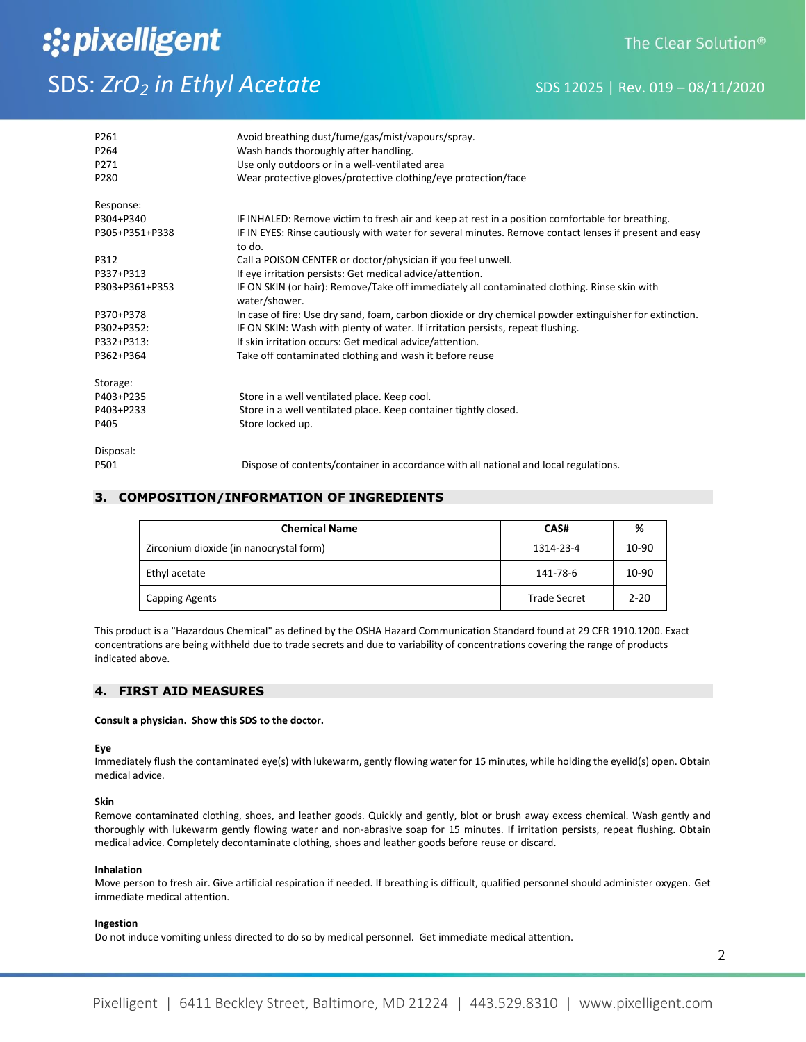# :: pixelligent SDS: *ZrO<sub>2</sub> in Ethyl Acetate* SDS 12025 | Rev. 019 – 08/11/2020

| P261<br>P264<br>P271<br>P280 | Avoid breathing dust/fume/gas/mist/vapours/spray.<br>Wash hands thoroughly after handling.<br>Use only outdoors or in a well-ventilated area<br>Wear protective gloves/protective clothing/eye protection/face |
|------------------------------|----------------------------------------------------------------------------------------------------------------------------------------------------------------------------------------------------------------|
| Response:                    |                                                                                                                                                                                                                |
| P304+P340                    | IF INHALED: Remove victim to fresh air and keep at rest in a position comfortable for breathing.                                                                                                               |
| P305+P351+P338               | IF IN EYES: Rinse cautiously with water for several minutes. Remove contact lenses if present and easy<br>to do.                                                                                               |
| P312                         | Call a POISON CENTER or doctor/physician if you feel unwell.                                                                                                                                                   |
| P337+P313                    | If eye irritation persists: Get medical advice/attention.                                                                                                                                                      |
| P303+P361+P353               | IF ON SKIN (or hair): Remove/Take off immediately all contaminated clothing. Rinse skin with<br>water/shower.                                                                                                  |
| P370+P378                    | In case of fire: Use dry sand, foam, carbon dioxide or dry chemical powder extinguisher for extinction.                                                                                                        |
| P302+P352:                   | IF ON SKIN: Wash with plenty of water. If irritation persists, repeat flushing.                                                                                                                                |
| P332+P313:                   | If skin irritation occurs: Get medical advice/attention.                                                                                                                                                       |
| P362+P364                    | Take off contaminated clothing and wash it before reuse                                                                                                                                                        |
| Storage:                     |                                                                                                                                                                                                                |
| P403+P235                    | Store in a well ventilated place. Keep cool.                                                                                                                                                                   |
| P403+P233                    | Store in a well ventilated place. Keep container tightly closed.                                                                                                                                               |
| P405                         | Store locked up.                                                                                                                                                                                               |
| Disposal:                    |                                                                                                                                                                                                                |
| P501                         | Dispose of contents/container in accordance with all national and local regulations.                                                                                                                           |

# **3. COMPOSITION/INFORMATION OF INGREDIENTS**

| <b>Chemical Name</b>                    | CAS#                | %        |
|-----------------------------------------|---------------------|----------|
| Zirconium dioxide (in nanocrystal form) | 1314-23-4           | 10-90    |
| Ethyl acetate                           | 141-78-6            | 10-90    |
| <b>Capping Agents</b>                   | <b>Trade Secret</b> | $2 - 20$ |

This product is a "Hazardous Chemical" as defined by the OSHA Hazard Communication Standard found at 29 CFR 1910.1200. Exact concentrations are being withheld due to trade secrets and due to variability of concentrations covering the range of products indicated above.

# **4. FIRST AID MEASURES**

# **Consult a physician. Show this SDS to the doctor.**

# **Eye**

Immediately flush the contaminated eye(s) with lukewarm, gently flowing water for 15 minutes, while holding the eyelid(s) open. Obtain medical advice.

# **Skin**

Remove contaminated clothing, shoes, and leather goods. Quickly and gently, blot or brush away excess chemical. Wash gently and thoroughly with lukewarm gently flowing water and non-abrasive soap for 15 minutes. If irritation persists, repeat flushing. Obtain medical advice. Completely decontaminate clothing, shoes and leather goods before reuse or discard.

# **Inhalation**

Move person to fresh air. Give artificial respiration if needed. If breathing is difficult, qualified personnel should administer oxygen. Get immediate medical attention.

# **Ingestion**

Do not induce vomiting unless directed to do so by medical personnel. Get immediate medical attention.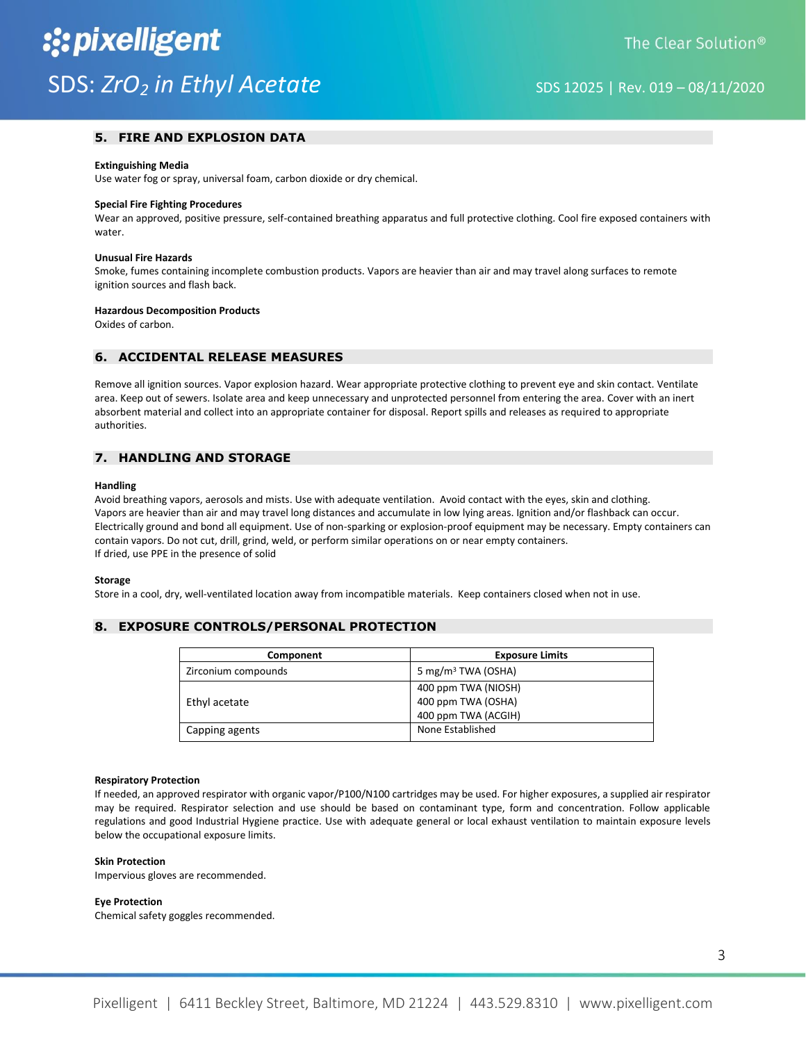# **5. FIRE AND EXPLOSION DATA**

#### **Extinguishing Media**

Use water fog or spray, universal foam, carbon dioxide or dry chemical.

#### **Special Fire Fighting Procedures**

Wear an approved, positive pressure, self-contained breathing apparatus and full protective clothing. Cool fire exposed containers with water.

## **Unusual Fire Hazards**

Smoke, fumes containing incomplete combustion products. Vapors are heavier than air and may travel along surfaces to remote ignition sources and flash back.

#### **Hazardous Decomposition Products**

Oxides of carbon.

# **6. ACCIDENTAL RELEASE MEASURES**

Remove all ignition sources. Vapor explosion hazard. Wear appropriate protective clothing to prevent eye and skin contact. Ventilate area. Keep out of sewers. Isolate area and keep unnecessary and unprotected personnel from entering the area. Cover with an inert absorbent material and collect into an appropriate container for disposal. Report spills and releases as required to appropriate authorities.

# **7. HANDLING AND STORAGE**

#### **Handling**

Avoid breathing vapors, aerosols and mists. Use with adequate ventilation. Avoid contact with the eyes, skin and clothing. Vapors are heavier than air and may travel long distances and accumulate in low lying areas. Ignition and/or flashback can occur. Electrically ground and bond all equipment. Use of non-sparking or explosion-proof equipment may be necessary. Empty containers can contain vapors. Do not cut, drill, grind, weld, or perform similar operations on or near empty containers. If dried, use PPE in the presence of solid

#### **Storage**

Store in a cool, dry, well-ventilated location away from incompatible materials. Keep containers closed when not in use.

# **8. EXPOSURE CONTROLS/PERSONAL PROTECTION**

| Component           | <b>Exposure Limits</b>                                           |
|---------------------|------------------------------------------------------------------|
| Zirconium compounds | 5 mg/m <sup>3</sup> TWA (OSHA)                                   |
| Ethyl acetate       | 400 ppm TWA (NIOSH)<br>400 ppm TWA (OSHA)<br>400 ppm TWA (ACGIH) |
| Capping agents      | None Established                                                 |

#### **Respiratory Protection**

If needed, an approved respirator with organic vapor/P100/N100 cartridges may be used. For higher exposures, a supplied air respirator may be required. Respirator selection and use should be based on contaminant type, form and concentration. Follow applicable regulations and good Industrial Hygiene practice. Use with adequate general or local exhaust ventilation to maintain exposure levels below the occupational exposure limits.

## **Skin Protection**

Impervious gloves are recommended.

### **Eye Protection**

Chemical safety goggles recommended.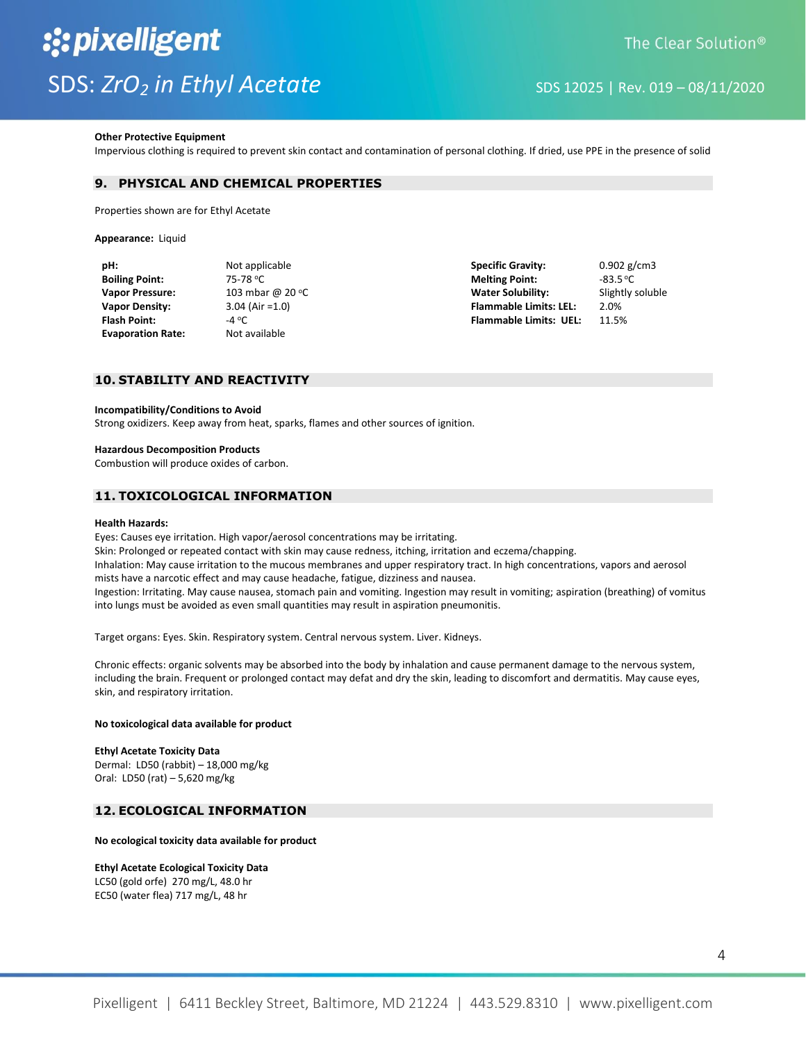#### **Other Protective Equipment**

Impervious clothing is required to prevent skin contact and contamination of personal clothing. If dried, use PPE in the presence of solid

# **9. PHYSICAL AND CHEMICAL PROPERTIES**

Properties shown are for Ethyl Acetate

**Appearance:** Liquid

| pH:                      | Not applicable     | <b>Specific Gravity:</b>      | $0.902$ g/cm3    |
|--------------------------|--------------------|-------------------------------|------------------|
| <b>Boiling Point:</b>    | 75-78 °C           | <b>Melting Point:</b>         | $-83.5$ °C       |
| <b>Vapor Pressure:</b>   | 103 mbar @ 20 °C   | <b>Water Solubility:</b>      | Slightly soluble |
| Vapor Density:           | $3.04$ (Air = 1.0) | <b>Flammable Limits: LEL:</b> | 2.0%             |
| Flash Point:             | -4 °C              | <b>Flammable Limits: UEL:</b> | 11.5%            |
| <b>Evaporation Rate:</b> | Not available      |                               |                  |
|                          |                    |                               |                  |

# **10. STABILITY AND REACTIVITY**

### **Incompatibility/Conditions to Avoid**

Strong oxidizers. Keep away from heat, sparks, flames and other sources of ignition.

#### **Hazardous Decomposition Products**

Combustion will produce oxides of carbon.

# **11. TOXICOLOGICAL INFORMATION**

#### **Health Hazards:**

Eyes: Causes eye irritation. High vapor/aerosol concentrations may be irritating. Skin: Prolonged or repeated contact with skin may cause redness, itching, irritation and eczema/chapping. Inhalation: May cause irritation to the mucous membranes and upper respiratory tract. In high concentrations, vapors and aerosol mists have a narcotic effect and may cause headache, fatigue, dizziness and nausea. Ingestion: Irritating. May cause nausea, stomach pain and vomiting. Ingestion may result in vomiting; aspiration (breathing) of vomitus into lungs must be avoided as even small quantities may result in aspiration pneumonitis.

Target organs: Eyes. Skin. Respiratory system. Central nervous system. Liver. Kidneys.

Chronic effects: organic solvents may be absorbed into the body by inhalation and cause permanent damage to the nervous system, including the brain. Frequent or prolonged contact may defat and dry the skin, leading to discomfort and dermatitis. May cause eyes, skin, and respiratory irritation.

### **No toxicological data available for product**

# **Ethyl Acetate Toxicity Data** Dermal: LD50 (rabbit) – 18,000 mg/kg

Oral: LD50 (rat) – 5,620 mg/kg

# **12. ECOLOGICAL INFORMATION**

### **No ecological toxicity data available for product**

# **Ethyl Acetate Ecological Toxicity Data**

LC50 (gold orfe) 270 mg/L, 48.0 hr EC50 (water flea) 717 mg/L, 48 hr